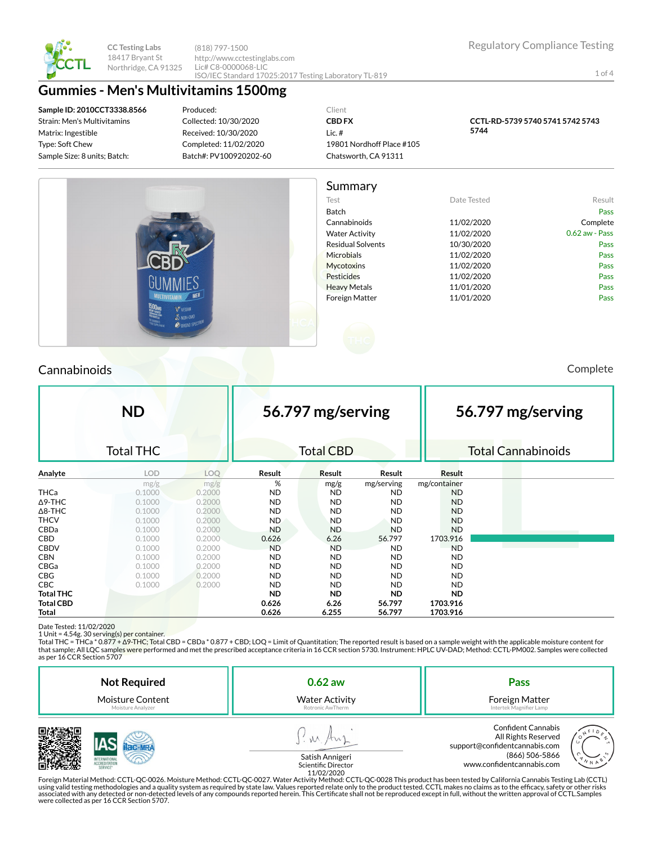

**CC Testing Labs** 18417 Bryant St Northridge, CA 91325

(818) 797-1500 http://www.cctestinglabs.com Lic# C8-0000068-LIC ISO/IEC Standard 17025:2017 Testing Laboratory TL-819

1 of 4

# **Gummies - Men's Multivitamins 1500mg**

**Sample ID: 2010CCT3338.8566** Strain: Men's Multivitamins Matrix: Ingestible Type: Soft Chew Sample Size: 8 units; Batch:

Produced: Collected: 10/30/2020 Received: 10/30/2020 Completed: 11/02/2020 Batch#: PV100920202-60

Client **CBD FX** Lic. # 19801 Nordhoff Place #105 Chatsworth, CA 91311

**CCTL-RD-5739 5740 5741 5742 5743 5744**



# Cannabinoids Complete

|                  | <b>ND</b>        |        |           | 56.797 mg/serving |            |               | 56.797 mg/serving |                           |  |
|------------------|------------------|--------|-----------|-------------------|------------|---------------|-------------------|---------------------------|--|
|                  | <b>Total THC</b> |        |           | <b>Total CBD</b>  |            |               |                   | <b>Total Cannabinoids</b> |  |
| Analyte          | <b>LOD</b>       | LOQ    | Result    | Result            | Result     | <b>Result</b> |                   |                           |  |
|                  | mg/g             | mg/g   | %         | mg/g              | mg/serving | mg/container  |                   |                           |  |
| <b>THCa</b>      | 0.1000           | 0.2000 | <b>ND</b> | <b>ND</b>         | <b>ND</b>  | <b>ND</b>     |                   |                           |  |
| $\Delta$ 9-THC   | 0.1000           | 0.2000 | ND.       | <b>ND</b>         | <b>ND</b>  | <b>ND</b>     |                   |                           |  |
| $\Delta$ 8-THC   | 0.1000           | 0.2000 | <b>ND</b> | <b>ND</b>         | <b>ND</b>  | <b>ND</b>     |                   |                           |  |
| <b>THCV</b>      | 0.1000           | 0.2000 | ND.       | <b>ND</b>         | ND.        | <b>ND</b>     |                   |                           |  |
| CBDa             | 0.1000           | 0.2000 | ND.       | <b>ND</b>         | <b>ND</b>  | <b>ND</b>     |                   |                           |  |
| <b>CBD</b>       | 0.1000           | 0.2000 | 0.626     | 6.26              | 56.797     | 1703.916      |                   |                           |  |
| <b>CBDV</b>      | 0.1000           | 0.2000 | <b>ND</b> | <b>ND</b>         | <b>ND</b>  | <b>ND</b>     |                   |                           |  |
| <b>CBN</b>       | 0.1000           | 0.2000 | <b>ND</b> | <b>ND</b>         | ND.        | ND            |                   |                           |  |
| CBGa             | 0.1000           | 0.2000 | <b>ND</b> | <b>ND</b>         | <b>ND</b>  | <b>ND</b>     |                   |                           |  |
| <b>CBG</b>       | 0.1000           | 0.2000 | <b>ND</b> | <b>ND</b>         | <b>ND</b>  | <b>ND</b>     |                   |                           |  |
| CBC              | 0.1000           | 0.2000 | <b>ND</b> | <b>ND</b>         | <b>ND</b>  | ND.           |                   |                           |  |
| <b>Total THC</b> |                  |        | <b>ND</b> | <b>ND</b>         | <b>ND</b>  | <b>ND</b>     |                   |                           |  |
| <b>Total CBD</b> |                  |        | 0.626     | 6.26              | 56.797     | 1703.916      |                   |                           |  |
| Total            |                  |        | 0.626     | 6.255             | 56.797     | 1703.916      |                   |                           |  |

Date Tested: 11/02/2020

1 Unit = 4.54g. 30 serving(s) per container.<br>Total THC = THCa \* 0.877 + Δ9-THC; Total CBD = CBDa \* 0.877 + CBD; LOQ = Limit of Quantitation; The reported result is based on a sample weight with the applicable moisture con that sample; All LQC samples were performed and met the prescribed acceptance criteria in 16 CCR section 5730. Instrument: HPLC UV-DAD; Method: CCTL-PM002. Samples were collected as per 16 CCR Section 5707

| <b>Not Required</b>     | $0.62$ aw             | <b>Pass</b>                                                                                         |  |  |
|-------------------------|-----------------------|-----------------------------------------------------------------------------------------------------|--|--|
| <b>Moisture Content</b> | <b>Water Activity</b> | Foreign Matter                                                                                      |  |  |
| Moisture Analyzer       | Rotronic AwTherm      | Intertek Magnifier Lamp                                                                             |  |  |
| <b>INTERNATIONS</b>     | Satich Annigeri       | <b>Confident Cannabis</b><br>All Rights Reserved<br>support@confidentcannabis.com<br>(866) 506-5866 |  |  |



www.confidentcannabis.com

Satish Annigeri Scientific Director

11/02/2020<br>Foreign Material Method: CCTL-QC-0026. Moisture Method: CCTL-QC-0027. Water Activity Method: CCTL-QC-0028 This product has been tested by California Cannabis Testing Lab (CCTL) حدوث التاريج using valid testing methodologies and a quality system as required by state law. Values reported relate only to the product tested. CCTL makes no claims as to the efficacy, safety or other risks<br>associated with any detecte were collected as per 16 CCR Section 5707.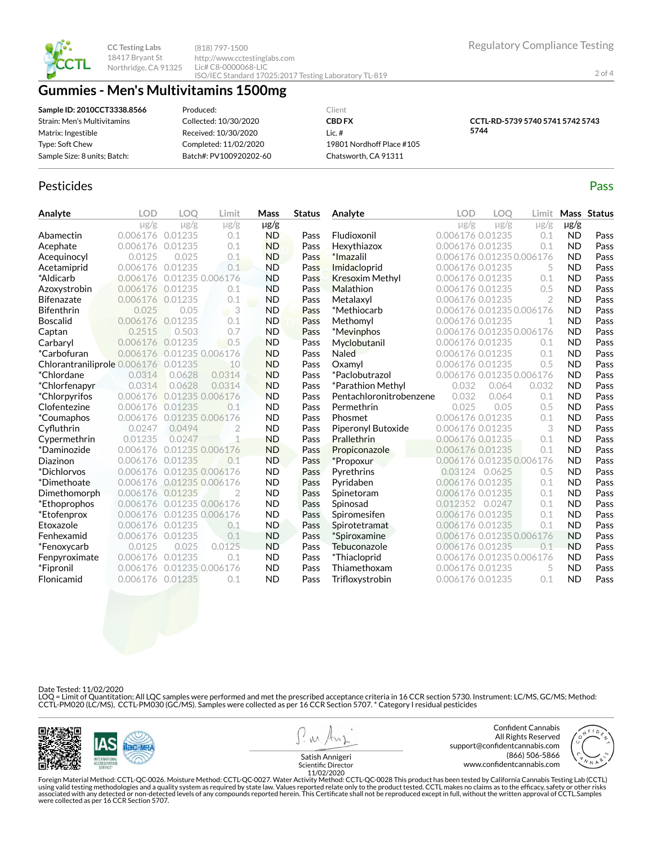

**CC Testing Labs** 18417 Bryant St Northridge, CA 91325

(818) 797-1500 http://www.cctestinglabs.com Lic# C8-0000068-LIC ISO/IEC Standard 17025:2017 Testing Laboratory TL-819

# **Gummies - Men's Multivitamins 1500mg**

| Sample ID: 2010CCT3338.8566  | Produced:              | Client                    |  |
|------------------------------|------------------------|---------------------------|--|
| Strain: Men's Multivitamins  | Collected: 10/30/2020  | <b>CBD FX</b>             |  |
| Matrix: Ingestible           | Received: 10/30/2020   | Lic. $#$                  |  |
| Type: Soft Chew              | Completed: 11/02/2020  | 19801 Nordhoff Place #105 |  |
| Sample Size: 8 units; Batch: | Batch#: PV100920202-60 | Chatsworth, CA 91311      |  |
|                              |                        |                           |  |

## Pesticides **Passage Contract Contract Contract Contract Contract Contract Contract Contract Contract Contract Contract Contract Contract Contract Contract Contract Contract Contract Contract Contract Contract Contract Cont**

| Analyte                      | <b>LOD</b> | LOO       | Limit                      | Mass      | <b>Status</b> | Analyte                 | <b>LOD</b>                | <b>LOO</b>     | Limit     |           | Mass Status |
|------------------------------|------------|-----------|----------------------------|-----------|---------------|-------------------------|---------------------------|----------------|-----------|-----------|-------------|
|                              | $\mu$ g/g  | $\mu$ g/g | $\mu$ g/g                  | $\mu$ g/g |               |                         | $\mu$ g/g                 | $\mu$ g/g      | $\mu$ g/g | µg/g      |             |
| Abamectin                    | 0.006176   | 0.01235   | 0.1                        | <b>ND</b> | Pass          | Fludioxonil             | 0.006176 0.01235          |                | 0.1       | <b>ND</b> | Pass        |
| Acephate                     | 0.006176   | 0.01235   | 0.1                        | <b>ND</b> | Pass          | Hexythiazox             | 0.006176 0.01235          |                | 0.1       | <b>ND</b> | Pass        |
| Acequinocyl                  | 0.0125     | 0.025     | 0.1                        | <b>ND</b> | Pass          | *Imazalil               | 0.006176 0.01235 0.006176 |                |           | <b>ND</b> | Pass        |
| Acetamiprid                  | 0.006176   | 0.01235   | 0.1                        | <b>ND</b> | Pass          | Imidacloprid            | 0.006176 0.01235          |                | 5         | <b>ND</b> | Pass        |
| *Aldicarb                    | 0.006176   |           | 0.01235 0.006176           | <b>ND</b> | Pass          | <b>Kresoxim Methyl</b>  | 0.006176 0.01235          |                | 0.1       | <b>ND</b> | Pass        |
| Azoxystrobin                 | 0.006176   | 0.01235   | 0.1                        | <b>ND</b> | Pass          | Malathion               | 0.006176 0.01235          |                | 0.5       | <b>ND</b> | Pass        |
| <b>Bifenazate</b>            | 0.006176   | 0.01235   | 0.1                        | <b>ND</b> | Pass          | Metalaxyl               | 0.006176 0.01235          |                | 2         | <b>ND</b> | Pass        |
| <b>Bifenthrin</b>            | 0.025      | 0.05      | $\overline{\phantom{a}}$ 3 | <b>ND</b> | Pass          | *Methiocarb             | 0.006176 0.01235 0.006176 |                |           | <b>ND</b> | Pass        |
| <b>Boscalid</b>              | 0.006176   | 0.01235   | 0.1                        | <b>ND</b> | Pass          | Methomyl                | 0.006176 0.01235          |                | 1         | <b>ND</b> | Pass        |
| Captan                       | 0.2515     | 0.503     | 0.7                        | <b>ND</b> | Pass          | *Mevinphos              | 0.006176 0.01235 0.006176 |                |           | <b>ND</b> | Pass        |
| Carbaryl                     | 0.006176   | 0.01235   | 0.5                        | <b>ND</b> | Pass          | Myclobutanil            | 0.006176 0.01235          |                | 0.1       | <b>ND</b> | Pass        |
| <i>*Carbofuran</i>           | 0.006176   |           | 0.01235 0.006176           | <b>ND</b> | Pass          | <b>Naled</b>            | 0.006176 0.01235          |                | 0.1       | <b>ND</b> | Pass        |
| Chlorantraniliprole 0.006176 |            | 0.01235   | 10                         | <b>ND</b> | Pass          | Oxamyl                  | 0.006176 0.01235          |                | 0.5       | <b>ND</b> | Pass        |
| *Chlordane                   | 0.0314     | 0.0628    | 0.0314                     | <b>ND</b> | Pass          | *Paclobutrazol          | 0.006176 0.01235 0.006176 |                |           | <b>ND</b> | Pass        |
| *Chlorfenapyr                | 0.0314     | 0.0628    | 0.0314                     | <b>ND</b> | Pass          | *Parathion Methyl       | 0.032                     | 0.064          | 0.032     | <b>ND</b> | Pass        |
| <i>*Chlorpyrifos</i>         | 0.006176   |           | 0.01235 0.006176           | <b>ND</b> | Pass          | Pentachloronitrobenzene | 0.032                     | 0.064          | 0.1       | <b>ND</b> | Pass        |
| Clofentezine                 | 0.006176   | 0.01235   | 0.1                        | <b>ND</b> | Pass          | Permethrin              | 0.025                     | 0.05           | 0.5       | <b>ND</b> | Pass        |
| <i>*Coumaphos</i>            | 0.006176   |           | 0.01235 0.006176           | <b>ND</b> | Pass          | Phosmet                 | 0.006176 0.01235          |                | 0.1       | <b>ND</b> | Pass        |
| Cyfluthrin                   | 0.0247     | 0.0494    | 2                          | <b>ND</b> | Pass          | Piperonyl Butoxide      | 0.006176 0.01235          |                | 3         | <b>ND</b> | Pass        |
| Cypermethrin                 | 0.01235    | 0.0247    |                            | <b>ND</b> | Pass          | Prallethrin             | 0.006176 0.01235          |                | 0.1       | <b>ND</b> | Pass        |
| *Daminozide                  | 0.006176   |           | 0.01235 0.006176           | <b>ND</b> | Pass          | Propiconazole           | 0.006176 0.01235          |                | 0.1       | <b>ND</b> | Pass        |
| Diazinon                     | 0.006176   | 0.01235   | 0.1                        | <b>ND</b> | Pass          | *Propoxur               | 0.006176 0.01235 0.006176 |                |           | <b>ND</b> | Pass        |
| *Dichlorvos                  | 0.006176   |           | 0.01235 0.006176           | <b>ND</b> | Pass          | Pyrethrins              |                           | 0.03124 0.0625 | 0.5       | <b>ND</b> | Pass        |
| *Dimethoate                  | 0.006176   |           | 0.01235 0.006176           | <b>ND</b> | Pass          | Pyridaben               | 0.006176 0.01235          |                | 0.1       | <b>ND</b> | Pass        |
| Dimethomorph                 | 0.006176   | 0.01235   |                            | <b>ND</b> | Pass          | Spinetoram              | 0.006176 0.01235          |                | 0.1       | <b>ND</b> | Pass        |
| *Ethoprophos                 | 0.006176   |           | 0.01235 0.006176           | <b>ND</b> | Pass          | Spinosad                | 0.012352                  | 0.0247         | 0.1       | <b>ND</b> | Pass        |
| *Etofenprox                  | 0.006176   |           | 0.01235 0.006176           | <b>ND</b> | Pass          | Spiromesifen            | 0.006176 0.01235          |                | 0.1       | <b>ND</b> | Pass        |
| Etoxazole                    | 0.006176   | 0.01235   | 0.1                        | <b>ND</b> | Pass          | Spirotetramat           | 0.006176 0.01235          |                | 0.1       | <b>ND</b> | Pass        |
| Fenhexamid                   | 0.006176   | 0.01235   | 0.1                        | <b>ND</b> | Pass          | *Spiroxamine            | 0.006176 0.01235 0.006176 |                |           | <b>ND</b> | Pass        |
| *Fenoxycarb                  | 0.0125     | 0.025     | 0.0125                     | <b>ND</b> | Pass          | Tebuconazole            | 0.006176 0.01235          |                | 0.1       | <b>ND</b> | Pass        |
| Fenpyroximate                | 0.006176   | 0.01235   | 0.1                        | <b>ND</b> | Pass          | *Thiacloprid            | 0.006176 0.01235 0.006176 |                |           | <b>ND</b> | Pass        |
| *Fipronil                    | 0.006176   |           | 0.01235 0.006176           | <b>ND</b> | Pass          | Thiamethoxam            | 0.006176 0.01235          |                | 5         | <b>ND</b> | Pass        |
| Flonicamid                   | 0.006176   | 0.01235   | 0.1                        | <b>ND</b> | Pass          | Trifloxystrobin         | 0.006176 0.01235          |                | 0.1       | <b>ND</b> | Pass        |
|                              |            |           |                            |           |               |                         |                           |                |           |           |             |

Date Tested: 11/02/2020

LOQ = Limit of Quantitation; All LQC samples were performed and met the prescribed acceptance criteria in 16 CCR section 5730. Instrument: LC/MS, GC/MS; Method:<br>CCTL-PM020 (LC/MS), CCTL-PM030 (GC/MS). Samples were collect



Regulatory Compliance Testing

2 of 4

**CCTL-RD-5739 5740 5741 5742 5743 5744**

Foreign Material Method: CCTL-QC-0026. Moisture Method: CCTL-QC-0027. Water Activity Method: CCTL-QC-0028 This product has been tested by California Cannabis Testing Lab (CCTL)<br>using valid testing methodologies and a quali were collected as per 16 CCR Section 5707.

11/02/2020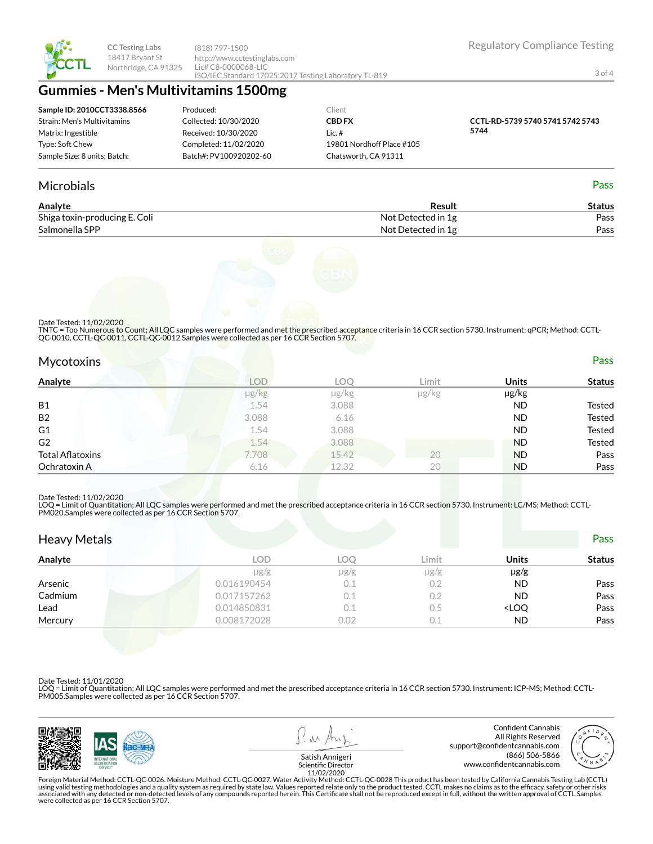

**CC Testing Labs** 18417 Bryant St Northridge, CA 91325 (818) 797-1500 http://www.cctestinglabs.com Lic# C8-0000068-LIC ISO/IEC Standard 17025:2017 Testing Laboratory TL-819 Regulatory Compliance Testing

3 of 4

# **Gummies - Men's Multivitamins 1500mg**

| Sample ID: 2010CCT3338.8566  | Produced:              | Client                    |                                  |
|------------------------------|------------------------|---------------------------|----------------------------------|
| Strain: Men's Multivitamins  | Collected: 10/30/2020  | <b>CBD FX</b>             | CCTL-RD-5739 5740 5741 5742 5743 |
| Matrix: Ingestible           | Received: 10/30/2020   | Lic. #                    | 5744                             |
| Type: Soft Chew              | Completed: 11/02/2020  | 19801 Nordhoff Place #105 |                                  |
| Sample Size: 8 units; Batch: | Batch#: PV100920202-60 | Chatsworth, CA 91311      |                                  |

## Microbials Pass

| Analyte                       | Result             | Status |
|-------------------------------|--------------------|--------|
| Shiga toxin-producing E. Coli | Not Detected in 1g | Pass   |
| Salmonella SPP                | Not Detected in 1g | Pass   |



Date Tested: 11/02/2020

TNTC = Too Numerous to Count; All LQC samples were performed and met the prescribed acceptance criteria in 16 CCR section 5730. Instrument: qPCR; Method: CCTL-<br>QC-0010, CCTL-QC-0011, CCTL-QC-0012.Samples were collected as

| <b>Mycotoxins</b>       |            |       |       |              | Pass          |
|-------------------------|------------|-------|-------|--------------|---------------|
| Analyte                 | <b>LOD</b> | LOO   | Limit | <b>Units</b> | <b>Status</b> |
|                         | µg/kg      | µg/kg | µg/kg | µg/kg        |               |
| <b>B1</b>               | 1.54       | 3.088 |       | <b>ND</b>    | Tested        |
| <b>B2</b>               | 3.088      | 6.16  |       | <b>ND</b>    | <b>Tested</b> |
| G <sub>1</sub>          | 1.54       | 3.088 |       | <b>ND</b>    | <b>Tested</b> |
| G2                      | 1.54       | 3.088 |       | <b>ND</b>    | Tested        |
| <b>Total Aflatoxins</b> | 7.708      | 15.42 | 20    | <b>ND</b>    | Pass          |
| Ochratoxin A            | 6.16       | 12.32 | 20    | <b>ND</b>    | Pass          |

### Date Tested: 11/02/2020

LOQ = Limit of Quantitation; All LQC samples were performed and met the prescribed acceptance criteria in 16 CCR section 5730. Instrument: LC/MS; Method: CCTL-<br>PM020.Samples were collected as per 16 CCR Section 5707.

| <b>Heavy Metals</b> |             |           |           |                                  | Pass          |
|---------------------|-------------|-----------|-----------|----------------------------------|---------------|
| Analyte             | LOD         | LOO       | Limit     | Units                            | <b>Status</b> |
|                     | $\mu$ g/g   | $\mu$ g/g | $\mu$ g/g | $\mu$ g/g                        |               |
| Arsenic             | 0.016190454 | 0.1       | 0.2       | <b>ND</b>                        | Pass          |
| Cadmium             | 0.017157262 | 0.1       | 0.2       | <b>ND</b>                        | Pass          |
| Lead                | 0.014850831 | 0.1       | $0.5\,$   | <loq< td=""><td>Pass</td></loq<> | Pass          |
| Mercury             | 0.008172028 | 0.02      | 0.1       | <b>ND</b>                        | Pass          |

### Date Tested: 11/01/2020

LOQ = Limit of Quantitation; All LQC samples were performed and met the prescribed acceptance criteria in 16 CCR section 5730. Instrument: ICP-MS; Method: CCTL-PM005.Samples were collected as per 16 CCR Section 5707.



11/02/2020<br>Foreign Material Method: CCTL-QC-0026. Moisture Method: CCTL-QC-0027. Water Activity Method: CCTL-QC-0028 This product has been tested by California Cannabis Testing Lab (CCTL) حدوث التاريج using valid testing methodologies and a quality system as required by state law. Values reported relate only to the product tested. CCTL makes no claims as to the efficacy, safety or other risks<br>associated with any detecte were collected as per 16 CCR Section 5707.